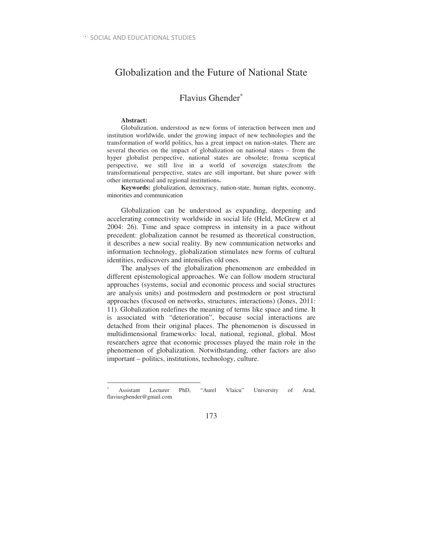# Globalization and the Future of National State

# Flavius Ghender<sup>∗</sup>

#### **Abstract:**

 $\overline{a}$ 

Globalization, understood as new forms of interaction between men and institution worldwide, under the growing impact of new technologies and the transformation of world politics, has a great impact on nation-states. There are several theories on the impact of globalization on national states – from the hyper globalist perspective, national states are obsolete; froma sceptical perspective, we still live in a world of sovereign states;from the transformational perspective, states are still important, but share power with other international and regional institutions**.** 

**Keywords:** globalization, democracy, nation-state, human rights, economy, minorities and communication

Globalization can be understood as expanding, deepening and accelerating connectivity worldwide in social life (Held, McGrew et al 2004: 26). Time and space compress in intensity in a pace without precedent: globalization cannot be resumed as theoretical construction, it describes a new social reality. By new communication networks and information technology, globalization stimulates new forms of cultural identities, rediscovers and intensifies old ones.

The analyses of the globalization phenomenon are embedded in different epistemological approaches. We can follow modern structural approaches (systems, social and economic process and social structures are analysis units) and postmodern and postmodern or post structural approaches (focused on networks, structures, interactions) (Jones, 2011: 11). Globalization redefines the meaning of terms like space and time. It is associated with "deterioration", because social interactions are detached from their original places. The phenomenon is discussed in multidimensional frameworks: local, national, regional, global. Most researchers agree that economic processes played the main role in the phenomenon of globalization. Notwithstanding, other factors are also important – politics, institutions, technology, culture.

### 173

<sup>∗</sup> Assistant Lecturer PhD, "Aurel Vlaicu" University of Arad, flaviusghender@gmail.com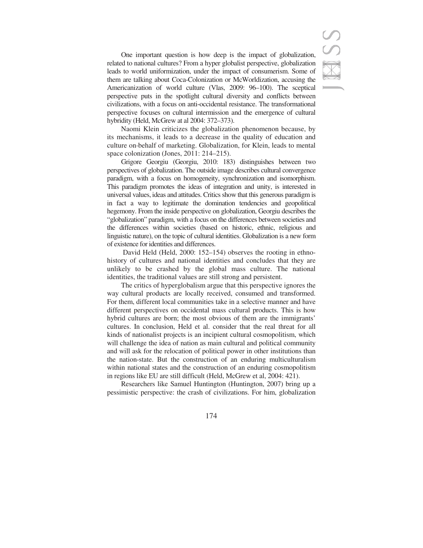

One important question is how deep is the impact of globalization, related to national cultures? From a hyper globalist perspective, globalization leads to world uniformization, under the impact of consumerism. Some of them are talking about Coca-Colonization or McWorldization, accusing the Americanization of world culture (Vlas, 2009: 96–100). The sceptical perspective puts in the spotlight cultural diversity and conflicts between civilizations, with a focus on anti-occidental resistance. The transformational perspective focuses on cultural intermission and the emergence of cultural hybridity (Held, McGrew at al 2004: 372–373).

Naomi Klein criticizes the globalization phenomenon because, by its mechanisms, it leads to a decrease in the quality of education and culture on behalf of marketing. Globalization, for Klein, leads to mental space colonization (Jones, 2011: 214–215).

Grigore Georgiu (Georgiu, 2010: 183) distinguishes between two perspectives of globalization. The outside image describes cultural convergence paradigm, with a focus on homogeneity, synchronization and isomorphism. This paradigm promotes the ideas of integration and unity, is interested in universal values, ideas and attitudes. Critics show that this generous paradigm is in fact a way to legitimate the domination tendencies and geopolitical hegemony. From the inside perspective on globalization, Georgiu describes the "globalization" paradigm, with a focus on the differences between societies and the differences within societies (based on historic, ethnic, religious and linguistic nature), on the topic of cultural identities. Globalization is a new form of existence for identities and differences.

 David Held (Held, 2000: 152–154) observes the rooting in ethnohistory of cultures and national identities and concludes that they are unlikely to be crashed by the global mass culture. The national identities, the traditional values are still strong and persistent.

The critics of hyperglobalism argue that this perspective ignores the way cultural products are locally received, consumed and transformed. For them, different local communities take in a selective manner and have different perspectives on occidental mass cultural products. This is how hybrid cultures are born; the most obvious of them are the immigrants' cultures. In conclusion, Held et al. consider that the real threat for all kinds of nationalist projects is an incipient cultural cosmopolitism, which will challenge the idea of nation as main cultural and political community and will ask for the relocation of political power in other institutions than the nation-state. But the construction of an enduring multiculturalism within national states and the construction of an enduring cosmopolitism in regions like EU are still difficult (Held, McGrew et al, 2004: 421).

Researchers like Samuel Huntington (Huntington, 2007) bring up a pessimistic perspective: the crash of civilizations. For him, globalization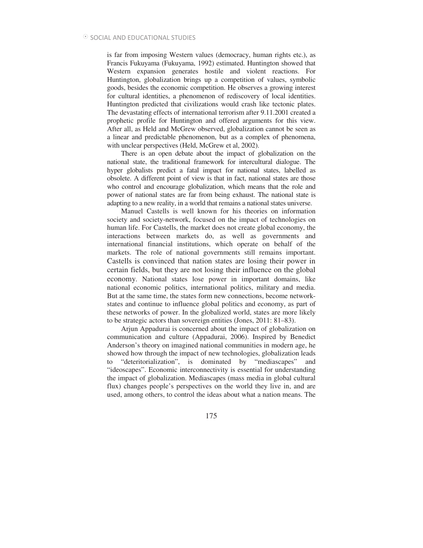is far from imposing Western values (democracy, human rights etc.), as Francis Fukuyama (Fukuyama, 1992) estimated. Huntington showed that Western expansion generates hostile and violent reactions. For Huntington, globalization brings up a competition of values, symbolic goods, besides the economic competition. He observes a growing interest for cultural identities, a phenomenon of rediscovery of local identities. Huntington predicted that civilizations would crash like tectonic plates. The devastating effects of international terrorism after 9.11.2001 created a prophetic profile for Huntington and offered arguments for this view. After all, as Held and McGrew observed, globalization cannot be seen as a linear and predictable phenomenon, but as a complex of phenomena, with unclear perspectives (Held, McGrew et al, 2002).

There is an open debate about the impact of globalization on the national state, the traditional framework for intercultural dialogue. The hyper globalists predict a fatal impact for national states, labelled as obsolete. A different point of view is that in fact, national states are those who control and encourage globalization, which means that the role and power of national states are far from being exhaust. The national state is adapting to a new reality, in a world that remains a national states universe.

Manuel Castells is well known for his theories on information society and society-network, focused on the impact of technologies on human life. For Castells, the market does not create global economy, the interactions between markets do, as well as governments and international financial institutions, which operate on behalf of the markets. The role of national governments still remains important. Castells is convinced that nation states are losing their power in certain fields, but they are not losing their influence on the global economy. National states lose power in important domains, like national economic politics, international politics, military and media. But at the same time, the states form new connections, become networkstates and continue to influence global politics and economy, as part of these networks of power. In the globalized world, states are more likely to be strategic actors than sovereign entities (Jones, 2011: 81–83).

Arjun Appadurai is concerned about the impact of globalization on communication and culture (Appadurai, 2006). Inspired by Benedict Anderson's theory on imagined national communities in modern age, he showed how through the impact of new technologies, globalization leads to "deteritorialization", is dominated by "mediascapes" and "ideoscapes". Economic interconnectivity is essential for understanding the impact of globalization. Mediascapes (mass media in global cultural flux) changes people's perspectives on the world they live in, and are used, among others, to control the ideas about what a nation means. The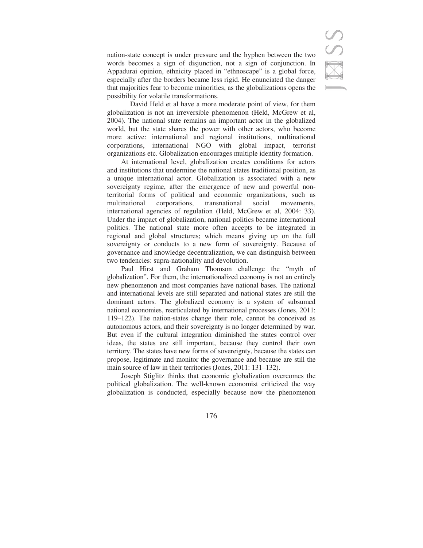nation-state concept is under pressure and the hyphen between the two words becomes a sign of disjunction, not a sign of conjunction. In Appadurai opinion, ethnicity placed in "ethnoscape" is a global force, especially after the borders became less rigid. He enunciated the danger that majorities fear to become minorities, as the globalizations opens the possibility for volatile transformations.

 David Held et al have a more moderate point of view, for them globalization is not an irreversible phenomenon (Held, McGrew et al, 2004). The national state remains an important actor in the globalized world, but the state shares the power with other actors, who become more active: international and regional institutions, multinational corporations, international NGO with global impact, terrorist organizations etc. Globalization encourages multiple identity formation.

At international level, globalization creates conditions for actors and institutions that undermine the national states traditional position, as a unique international actor. Globalization is associated with a new sovereignty regime, after the emergence of new and powerful nonterritorial forms of political and economic organizations, such as multinational corporations, transnational social movements, international agencies of regulation (Held, McGrew et al, 2004: 33). Under the impact of globalization, national politics became international politics. The national state more often accepts to be integrated in regional and global structures; which means giving up on the full sovereignty or conducts to a new form of sovereignty. Because of governance and knowledge decentralization, we can distinguish between two tendencies: supra-nationality and devolution.

Paul Hirst and Graham Thomson challenge the "myth of globalization". For them, the internationalized economy is not an entirely new phenomenon and most companies have national bases. The national and international levels are still separated and national states are still the dominant actors. The globalized economy is a system of subsumed national economies, rearticulated by international processes (Jones, 2011: 119–122). The nation-states change their role, cannot be conceived as autonomous actors, and their sovereignty is no longer determined by war. But even if the cultural integration diminished the states control over ideas, the states are still important, because they control their own territory. The states have new forms of sovereignty, because the states can propose, legitimate and monitor the governance and because are still the main source of law in their territories (Jones, 2011: 131–132).

Joseph Stiglitz thinks that economic globalization overcomes the political globalization. The well-known economist criticized the way globalization is conducted, especially because now the phenomenon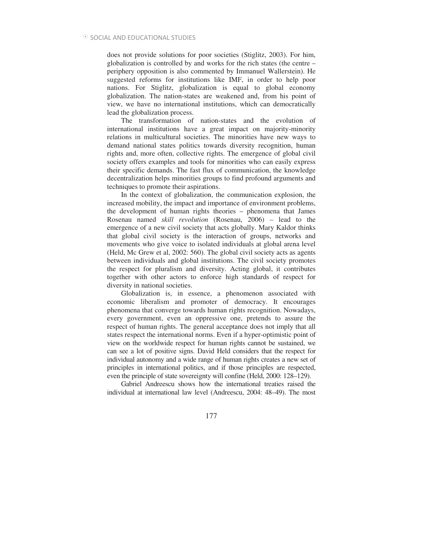does not provide solutions for poor societies (Stiglitz, 2003). For him, globalization is controlled by and works for the rich states (the centre – periphery opposition is also commented by Immanuel Wallerstein). He suggested reforms for institutions like IMF, in order to help poor nations. For Stiglitz, globalization is equal to global economy globalization. The nation-states are weakened and, from his point of view, we have no international institutions, which can democratically lead the globalization process.

The transformation of nation-states and the evolution of international institutions have a great impact on majority-minority relations in multicultural societies. The minorities have new ways to demand national states politics towards diversity recognition, human rights and, more often, collective rights. The emergence of global civil society offers examples and tools for minorities who can easily express their specific demands. The fast flux of communication, the knowledge decentralization helps minorities groups to find profound arguments and techniques to promote their aspirations.

In the context of globalization, the communication explosion, the increased mobility, the impact and importance of environment problems, the development of human rights theories – phenomena that James Rosenau named *skill revolution* (Rosenau, 2006) *–* lead to the emergence of a new civil society that acts globally. Mary Kaldor thinks that global civil society is the interaction of groups, networks and movements who give voice to isolated individuals at global arena level (Held, Mc Grew et al, 2002: 560). The global civil society acts as agents between individuals and global institutions. The civil society promotes the respect for pluralism and diversity. Acting global, it contributes together with other actors to enforce high standards of respect for diversity in national societies.

Globalization is, in essence, a phenomenon associated with economic liberalism and promoter of democracy. It encourages phenomena that converge towards human rights recognition. Nowadays, every government, even an oppressive one, pretends to assure the respect of human rights. The general acceptance does not imply that all states respect the international norms. Even if a hyper-optimistic point of view on the worldwide respect for human rights cannot be sustained, we can see a lot of positive signs. David Held considers that the respect for individual autonomy and a wide range of human rights creates a new set of principles in international politics, and if those principles are respected, even the principle of state sovereignty will confine (Held, 2000: 128–129).

Gabriel Andreescu shows how the international treaties raised the individual at international law level (Andreescu, 2004: 48–49). The most